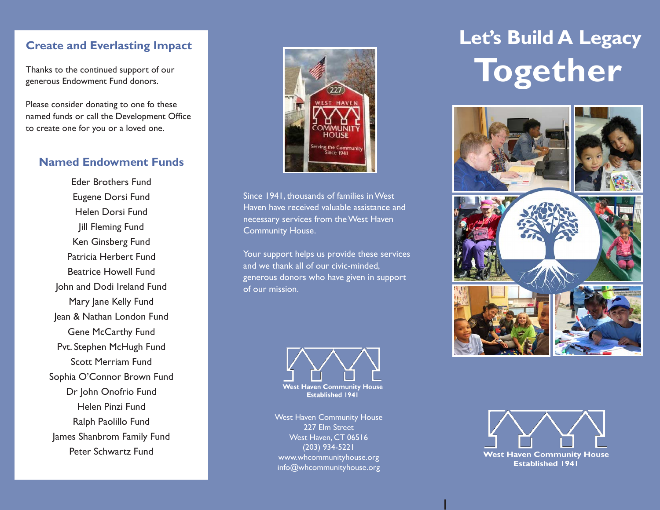#### **Create and Everlasting Impact**

Thanks to the continued support of our generous Endowment Fund donors.

Please consider donating to one fo these named funds or call the Development Office to create one for you or a loved one.

#### **Named Endowment Funds**

Eder Brothers Fund Eugene Dorsi Fund Helen Dorsi Fund Jill Fleming Fund Ken Ginsberg Fund Patricia Herbert Fund Beatrice Howell Fund John and Dodi Ireland Fund Mary Jane Kelly Fund Jean & Nathan London Fund Gene McCarthy Fund Pvt. Stephen McHugh Fund Scott Merriam Fund Sophia O'Connor Brown Fund Dr John Onofrio Fund Helen Pinzi Fund Ralph Paolillo Fund James Shanbrom Family Fund Peter Schwartz Fund



Since 1941, thousands of families in West Haven have received valuable assistance and necessary services from the West Haven Community House.

Your support helps us provide these services and we thank all of our civic-minded, generous donors who have given in support of our mission.



West Haven Community House 227 Elm Street West Haven, CT 06516 (203) 934-5221 www.whcommunityhouse.org info@whcommunityhouse.org

# **Let's Build A Legacy Together**